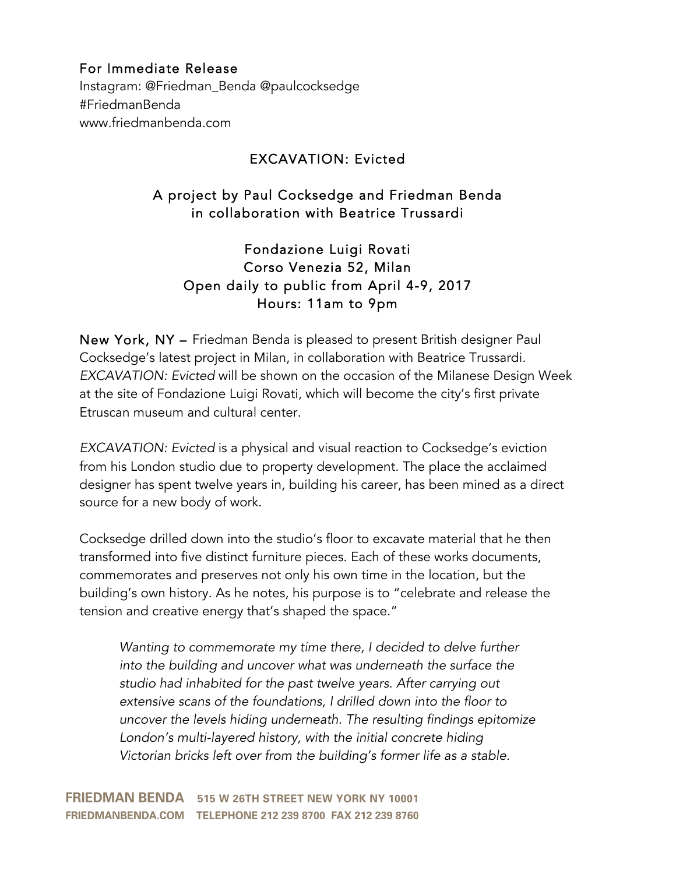## For Immediate Release

Instagram: @Friedman\_Benda @paulcocksedge #FriedmanBenda www.friedmanbenda.com

## EXCAVATION: Evicted

# A project by Paul Cocksedge and Friedman Benda in collaboration with Beatrice Trussardi

Fondazione Luigi Rovati Corso Venezia 52, Milan Open daily to public from April 4-9, 2017 Hours: 11am to 9pm

New York, NY – Friedman Benda is pleased to present British designer Paul Cocksedge's latest project in Milan, in collaboration with Beatrice Trussardi. *EXCAVATION: Evicted* will be shown on the occasion of the Milanese Design Week at the site of Fondazione Luigi Rovati, which will become the city's first private Etruscan museum and cultural center.

*EXCAVATION: Evicted* is a physical and visual reaction to Cocksedge's eviction from his London studio due to property development. The place the acclaimed designer has spent twelve years in, building his career, has been mined as a direct source for a new body of work.

Cocksedge drilled down into the studio's floor to excavate material that he then transformed into five distinct furniture pieces. Each of these works documents, commemorates and preserves not only his own time in the location, but the building's own history. As he notes, his purpose is to "celebrate and release the tension and creative energy that's shaped the space."

*Wanting to commemorate my time there, I decided to delve further into the building and uncover what was underneath the surface the studio had inhabited for the past twelve years. After carrying out extensive scans of the foundations, I drilled down into the floor to uncover the levels hiding underneath. The resulting findings epitomize London's multi-layered history, with the initial concrete hiding Victorian bricks left over from the building's former life as a stable.*

**FRIEDMAN BENDA** 515 W 26TH STREET NEW YORK NY 10001 FRIEDMANBENDA.COM TELEPHONE 212 239 8700 FAX 212 239 8760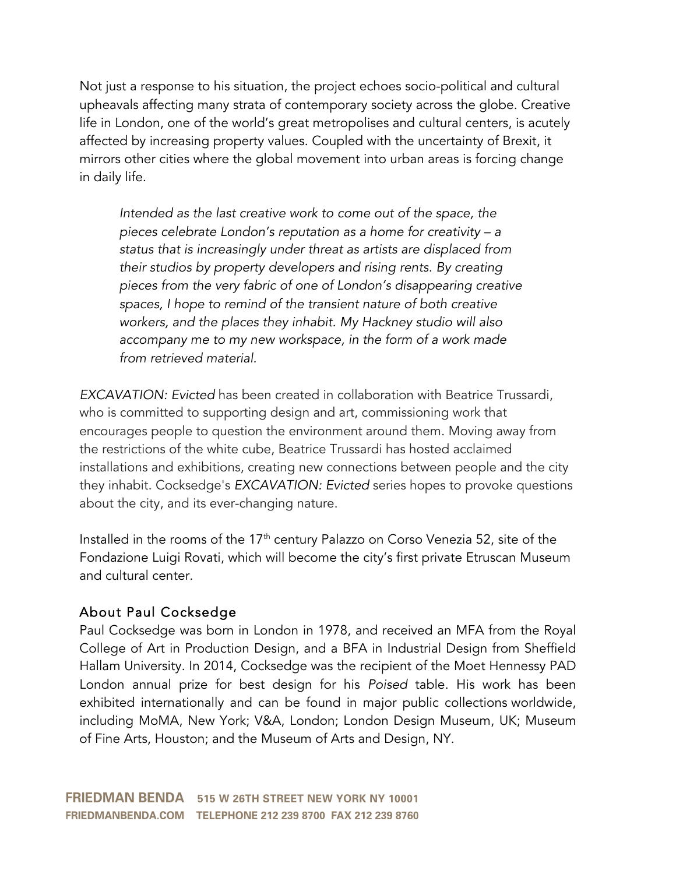Not just a response to his situation, the project echoes socio-political and cultural upheavals affecting many strata of contemporary society across the globe. Creative life in London, one of the world's great metropolises and cultural centers, is acutely affected by increasing property values. Coupled with the uncertainty of Brexit, it mirrors other cities where the global movement into urban areas is forcing change in daily life.

*Intended as the last creative work to come out of the space, the pieces celebrate London's reputation as a home for creativity – a status that is increasingly under threat as artists are displaced from their studios by property developers and rising rents. By creating pieces from the very fabric of one of London's disappearing creative spaces, I hope to remind of the transient nature of both creative workers, and the places they inhabit. My Hackney studio will also accompany me to my new workspace, in the form of a work made from retrieved material.*

*EXCAVATION: Evicted* has been created in collaboration with Beatrice Trussardi, who is committed to supporting design and art, commissioning work that encourages people to question the environment around them. Moving away from the restrictions of the white cube, Beatrice Trussardi has hosted acclaimed installations and exhibitions, creating new connections between people and the city they inhabit. Cocksedge's *EXCAVATION: Evicted* series hopes to provoke questions about the city, and its ever-changing nature.

Installed in the rooms of the 17<sup>th</sup> century Palazzo on Corso Venezia 52, site of the Fondazione Luigi Rovati, which will become the city's first private Etruscan Museum and cultural center.

## About Paul Cocksedge

Paul Cocksedge was born in London in 1978, and received an MFA from the Royal College of Art in Production Design, and a BFA in Industrial Design from Sheffield Hallam University. In 2014, Cocksedge was the recipient of the Moet Hennessy PAD London annual prize for best design for his *Poised* table. His work has been exhibited internationally and can be found in major public collections worldwide, including MoMA, New York; V&A, London; London Design Museum, UK; Museum of Fine Arts, Houston; and the Museum of Arts and Design, NY.